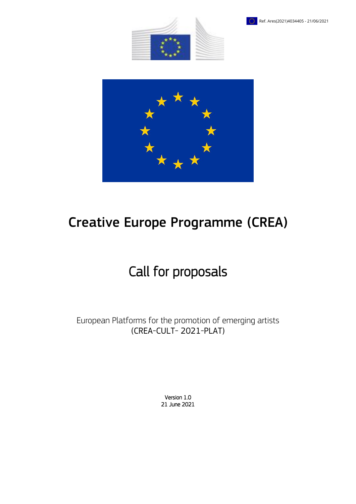





# Creative Europe Programme (CREA)

# Call for proposals

European Platforms for the promotion of emerging artists (CREA-CULT- 2021-PLAT)

> Version 1.0 21 June 2021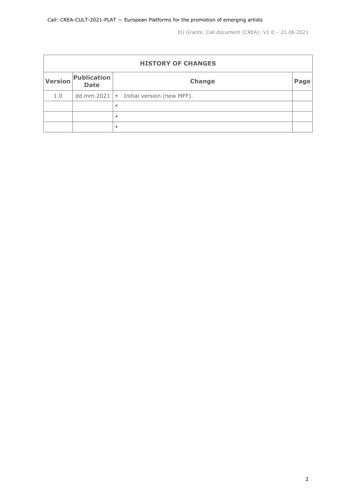| <b>HISTORY OF CHANGES</b> |                                   |                                         |      |  |  |  |
|---------------------------|-----------------------------------|-----------------------------------------|------|--|--|--|
| <b>Version</b>            | <b>Publication</b><br><b>Date</b> | Change                                  | Page |  |  |  |
| 1.0                       |                                   | dd.mm.2021   Initial version (new MFF). |      |  |  |  |
|                           |                                   | ٠                                       |      |  |  |  |
|                           |                                   | ٠                                       |      |  |  |  |
|                           |                                   | ٠                                       |      |  |  |  |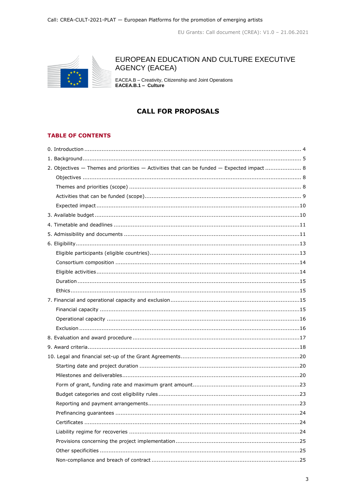

# EUROPEAN EDUCATION AND CULTURE EXECUTIVE **AGENCY (EACEA)**

EACEA.B - Creativity, Citizenship and Joint Operations<br>EACEA.B.1 - Culture

# **CALL FOR PROPOSALS**

# **TABLE OF CONTENTS**

| 2. Objectives - Themes and priorities - Activities that can be funded - Expected impact 8 |
|-------------------------------------------------------------------------------------------|
|                                                                                           |
|                                                                                           |
|                                                                                           |
|                                                                                           |
|                                                                                           |
|                                                                                           |
|                                                                                           |
|                                                                                           |
|                                                                                           |
|                                                                                           |
|                                                                                           |
|                                                                                           |
|                                                                                           |
|                                                                                           |
|                                                                                           |
|                                                                                           |
|                                                                                           |
|                                                                                           |
|                                                                                           |
|                                                                                           |
|                                                                                           |
|                                                                                           |
|                                                                                           |
|                                                                                           |
|                                                                                           |
|                                                                                           |
|                                                                                           |
|                                                                                           |
|                                                                                           |
|                                                                                           |
|                                                                                           |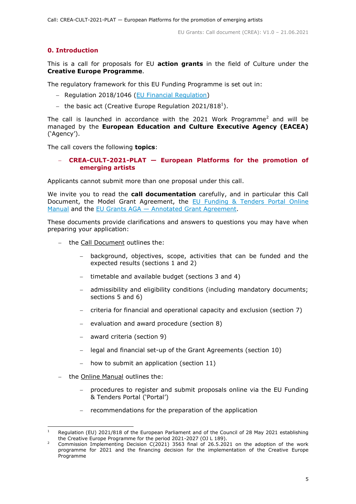# <span id="page-4-0"></span>**0. Introduction**

This is a call for proposals for EU **action grants** in the field of Culture under the **Creative Europe Programme**.

The regulatory framework for this EU Funding Programme is set out in:

- Regulation 2018/1046 [\(EU Financial Regulation\)](https://eur-lex.europa.eu/legal-content/EN/ALL/?uri=CELEX:32018R1046&qid=1535046024012)
- $-$  the basic act (Creative Europe Regulation 2021/818<sup>1</sup>).

The call is launched in accordance with the 2021 Work Programme<sup>2</sup> and will be managed by the **European Education and Culture Executive Agency (EACEA)** ('Agency').

The call covers the following **topics**:

# **CREA-CULT-2021-PLAT — European Platforms for the promotion of emerging artists**

Applicants cannot submit more than one proposal under this call.

We invite you to read the **call documentation** carefully, and in particular this Call Document, the Model Grant Agreement, the [EU Funding & Tenders Portal Online](https://ec.europa.eu/info/funding-tenders/opportunities/docs/2021-2027/common/guidance/om_en.pdf)  [Manual](https://ec.europa.eu/info/funding-tenders/opportunities/docs/2021-2027/common/guidance/om_en.pdf) and the EU Grants AGA — [Annotated Grant Agreement.](https://ec.europa.eu/info/funding-tenders/opportunities/docs/2021-2027/common/guidance/aga_en.pdf)

These documents provide clarifications and answers to questions you may have when preparing your application:

- the Call Document outlines the:
	- background, objectives, scope, activities that can be funded and the expected results (sections 1 and 2)
	- timetable and available budget (sections 3 and 4)
	- admissibility and eligibility conditions (including mandatory documents; sections 5 and 6)
	- $-$  criteria for financial and operational capacity and exclusion (section 7)
	- evaluation and award procedure (section 8)
	- $-$  award criteria (section 9)
	- legal and financial set-up of the Grant Agreements (section 10)
	- how to submit an application (section 11)
- the Online Manual outlines the:
	- procedures to register and submit proposals online via the EU Funding & Tenders Portal ('Portal')
	- recommendations for the preparation of the application

 $\mathbf{1}$ Regulation (EU) 2021/818 of the European Parliament and of the Council of 28 May 2021 establishing the Creative Europe Programme for the period 2021-2027 (OJ L 189).

<sup>2</sup> Commission Implementing Decision C(2021) 3563 final of 26.5.2021 on the adoption of the work programme for 2021 and the financing decision for the implementation of the Creative Europe Programme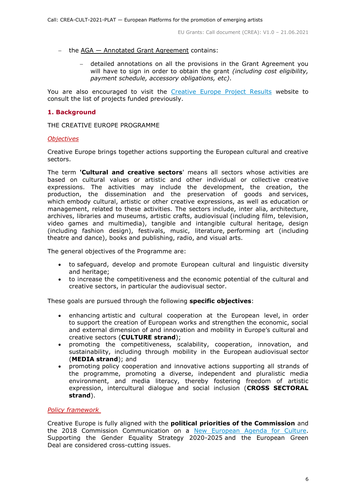- the AGA Annotated Grant Agreement contains:
	- detailed annotations on all the provisions in the Grant Agreement you will have to sign in order to obtain the grant *(including cost eligibility, payment schedule, accessory obligations, etc)*.

You are also encouraged to visit the [Creative Europe Project Results](https://ec.europa.eu/programmes/creative-europe/projects/) website to consult the list of projects funded previously.

### <span id="page-5-0"></span>**1. Background**

THE CREATIVE EUROPE PROGRAMME

#### *Objectives*

Creative Europe brings together actions supporting the European cultural and creative sectors.

The term **'Cultural and creative sectors**' means all sectors whose activities are based on cultural values or artistic and other individual or collective creative expressions. The activities may include the development, the creation, the production, the dissemination and the preservation of goods and services, which embody cultural, artistic or other creative expressions, as well as education or management, related to these activities. The sectors include, inter alia, architecture, archives, libraries and museums, artistic crafts, audiovisual (including film, television, video games and multimedia), tangible and intangible cultural heritage, design (including fashion design), festivals, music, literature, performing art (including theatre and dance), books and publishing, radio, and visual arts.

The general objectives of the Programme are:

- to safeguard, develop and promote European cultural and linguistic diversity and heritage;
- to increase the competitiveness and the economic potential of the cultural and creative sectors, in particular the audiovisual sector.

These goals are pursued through the following **specific objectives**:

- enhancing artistic and cultural cooperation at the European level, in order to support the creation of European works and strengthen the economic, social and external dimension of and innovation and mobility in Europe's cultural and creative sectors (**CULTURE strand**);
- promoting the competitiveness, scalability, cooperation, innovation, and sustainability, including through mobility in the European audiovisual sector (**MEDIA strand**); and
- promoting policy cooperation and innovative actions supporting all strands of the programme, promoting a diverse, independent and pluralistic media environment, and media literacy, thereby fostering freedom of artistic expression, intercultural dialogue and social inclusion (**CROSS SECTORAL strand**).

#### *Policy framework*

Creative Europe is fully aligned with the **political priorities of the Commission** and the 2018 Commission Communication on a [New European Agenda for Culture.](https://eur-lex.europa.eu/legal-content/EN/TXT/?uri=COM%3A2018%3A267%3AFIN) Supporting the Gender Equality Strategy 2020-2025 and the European Green Deal are considered cross-cutting issues.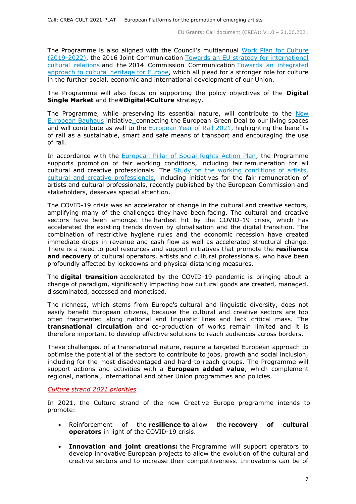The Programme is also aligned with the Council's multiannual [Work Plan for Culture](https://eur-lex.europa.eu/legal-content/EN/TXT/?uri=CELEX:52018XG1221(01))  [\(2019-2022\),](https://eur-lex.europa.eu/legal-content/EN/TXT/?uri=CELEX:52018XG1221(01)) the 2016 Joint Communication [Towards an EU strategy for international](https://ec.europa.eu/culture/policies/international-cultural-relations)  [cultural relations](https://ec.europa.eu/culture/policies/international-cultural-relations) and the 2014 Commission Communication [Towards an integrated](https://ec.europa.eu/assets/eac/culture/library/publications/2014-heritage-communication_en.pdf)  [approach to cultural heritage for Europe,](https://ec.europa.eu/assets/eac/culture/library/publications/2014-heritage-communication_en.pdf) which all plead for a stronger role for culture in the further social, economic and international development of our Union.

The Programme will also focus on supporting the policy objectives of the **Digital Single Market** and the**#Digital4Culture** strategy.

The Programme, while preserving its essential nature, will contribute to the New [European Bauhaus](https://europa.eu/new-european-bauhaus/about/about-initiative_en) initiative, connecting the European Green Deal to our living spaces and will contribute as well to the [European Year of Rail 2021,](https://europa.eu/year-of-rail/index_en) highlighting the benefits of rail as a sustainable, smart and safe means of transport and encouraging the use of rail.

In accordance with the [European Pillar of Social Rights Action Plan,](https://ec.europa.eu/info/strategy/priorities-2019-2024/economy-works-people/jobs-growth-and-investment/european-pillar-social-rights/european-pillar-social-rights-action-plan_en) the Programme supports promotion of fair working conditions, including fair remuneration for all cultural and creative professionals. The **Study on the working conditions of artists**, [cultural and creative professionals,](https://ec.europa.eu/culture/news/study-artists-working-conditions-published) including initiatives for the fair remuneration of artists and cultural professionals, recently published by the European Commission and stakeholders, deserves special attention.

The COVID-19 crisis was an accelerator of change in the cultural and creative sectors, amplifying many of the challenges they have been facing. The cultural and creative sectors have been amongst the hardest hit by the COVID-19 crisis, which has accelerated the existing trends driven by globalisation and the digital transition. The combination of restrictive hygiene rules and the economic recession have created immediate drops in revenue and cash flow as well as accelerated structural change. There is a need to pool resources and support initiatives that promote the **resilience**  and recovery of cultural operators, artists and cultural professionals, who have been profoundly affected by lockdowns and physical distancing measures.

The **digital transition** accelerated by the COVID-19 pandemic is bringing about a change of paradigm, significantly impacting how cultural goods are created, managed, disseminated, accessed and monetised.

The richness, which stems from Europe's cultural and linguistic diversity, does not easily benefit European citizens, because the cultural and creative sectors are too often fragmented along national and linguistic lines and lack critical mass. The **transnational circulation** and co-production of works remain limited and it is therefore important to develop effective solutions to reach audiences across borders.

These challenges, of a transnational nature, require a targeted European approach to optimise the potential of the sectors to contribute to jobs, growth and social inclusion, including for the most disadvantaged and hard-to-reach groups. The Programme will support actions and activities with a **European added value**, which complement regional, national, international and other Union programmes and policies.

#### *Culture strand 2021 priorities*

In 2021, the Culture strand of the new Creative Europe programme intends to promote:

- Reinforcement of the **resilience to** allow the **recovery of cultural operators** in light of the COVID-19 crisis.
- **Innovation and joint creations:** the Programme will support operators to develop innovative European projects to allow the evolution of the cultural and creative sectors and to increase their competitiveness. Innovations can be of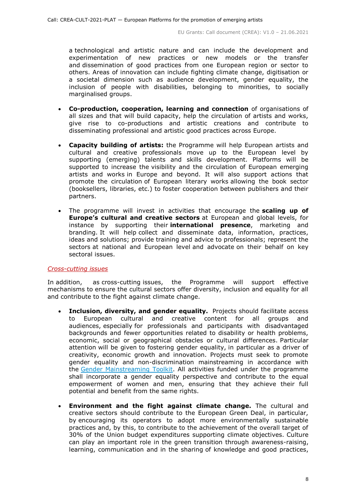a technological and artistic nature and can include the development and experimentation of new practices or new models or the transfer and dissemination of good practices from one European region or sector to others. Areas of innovation can include fighting climate change, digitisation or a societal dimension such as audience development, gender equality, the inclusion of people with disabilities, belonging to minorities, to socially marginalised groups.

- **Co-production, cooperation, learning and connection** of organisations of all sizes and that will build capacity, help the circulation of artists and works, give rise to co-productions and artistic creations and contribute to disseminating professional and artistic good practices across Europe.
- **Capacity building of artists:** the Programme will help European artists and cultural and creative professionals move up to the European level by supporting (emerging) talents and skills development. Platforms will be supported to increase the visibility and the circulation of European emerging artists and works in Europe and beyond. It will also support actions that promote the circulation of European literary works allowing the book sector (booksellers, libraries, etc.) to foster cooperation between publishers and their partners.
- The programme will invest in activities that encourage the **scaling up of Europe's cultural and creative sectors** at European and global levels, for instance by supporting their **international presence**, marketing and branding. It will help collect and disseminate data, information, practices, ideas and solutions; provide training and advice to professionals; represent the sectors at national and European level and advocate on their behalf on key sectoral issues.

#### *Cross-cutting issues*

In addition, as cross-cutting issues, the Programme will support effective mechanisms to ensure the cultural sectors offer diversity, inclusion and equality for all and contribute to the fight against climate change.

- **Inclusion, diversity, and gender equality.** Projects should facilitate access to European cultural and creative content for all groups and audiences, especially for professionals and participants with disadvantaged backgrounds and fewer opportunities related to disability or health problems, economic, social or geographical obstacles or cultural differences. Particular attention will be given to fostering gender equality, in particular as a driver of creativity, economic growth and innovation. Projects must seek to promote gender equality and non-discrimination mainstreaming in accordance with the [Gender Mainstreaming Toolkit.](https://eige.europa.eu/gender-mainstreaming/toolkits/gender-impact-assessment/guide-gender-impact-assessment) All activities funded under the programme shall incorporate a gender equality perspective and contribute to the equal empowerment of women and men, ensuring that they achieve their full potential and benefit from the same rights.
- **Environment and the fight against climate change.** The cultural and creative sectors should contribute to the European Green Deal, in particular, by encouraging its operators to adopt more environmentally sustainable practices and, by this, to contribute to the achievement of the overall target of 30% of the Union budget expenditures supporting climate objectives. Culture can play an important role in the green transition through awareness-raising, learning, communication and in the sharing of knowledge and good practices,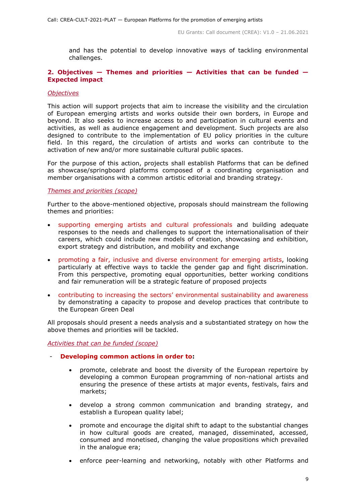and has the potential to develop innovative ways of tackling environmental challenges.

#### <span id="page-8-0"></span>**2. Objectives — Themes and priorities — Activities that can be funded — Expected impact**

#### <span id="page-8-1"></span>*Objectives*

This action will support projects that aim to increase the visibility and the circulation of European emerging artists and works outside their own borders, in Europe and beyond. It also seeks to increase access to and participation in cultural events and activities, as well as audience engagement and development. Such projects are also designed to contribute to the implementation of EU policy priorities in the culture field. In this regard, the circulation of artists and works can contribute to the activation of new and/or more sustainable cultural public spaces.

For the purpose of this action, projects shall establish Platforms that can be defined as showcase/springboard platforms composed of a coordinating organisation and member organisations with a common artistic editorial and branding strategy.

# <span id="page-8-2"></span>*Themes and priorities (scope)*

Further to the above-mentioned objective, proposals should mainstream the following themes and priorities:

- supporting emerging artists and cultural professionals and building adequate responses to the needs and challenges to support the internationalisation of their careers, which could include new models of creation, showcasing and exhibition, export strategy and distribution, and mobility and exchange
- promoting a fair, inclusive and diverse environment for emerging artists, looking particularly at effective ways to tackle the gender gap and fight discrimination. From this perspective, promoting equal opportunities, better working conditions and fair remuneration will be a strategic feature of proposed projects
- contributing to increasing the sectors' environmental sustainability and awareness by demonstrating a capacity to propose and develop practices that contribute to the European Green Deal

All proposals should present a needs analysis and a substantiated strategy on how the above themes and priorities will be tackled.

### <span id="page-8-3"></span>*Activities that can be funded (scope)*

### - **Developing common actions in order to:**

- promote, celebrate and boost the diversity of the European repertoire by developing a common European programming of non-national artists and ensuring the presence of these artists at major events, festivals, fairs and markets;
- develop a strong common communication and branding strategy, and establish a European quality label;
- promote and encourage the digital shift to adapt to the substantial changes in how cultural goods are created, managed, disseminated, accessed, consumed and monetised, changing the value propositions which prevailed in the analogue era;
- enforce peer-learning and networking, notably with other Platforms and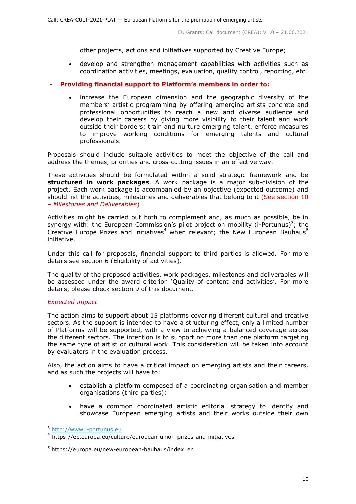other projects, actions and initiatives supported by Creative Europe;

 develop and strengthen management capabilities with activities such as coordination activities, meetings, evaluation, quality control, reporting, etc.

# - **Providing financial support to Platform's members in order to:**

 increase the European dimension and the geographic diversity of the members' artistic programming by offering emerging artists concrete and professional opportunities to reach a new and diverse audience and develop their careers by giving more visibility to their talent and work outside their borders; train and nurture emerging talent, enforce measures to improve working conditions for emerging talents and cultural professionals.

Proposals should include suitable activities to meet the objective of the call and address the themes, priorities and cross-cutting issues in an effective way.

These activities should be formulated within a solid strategic framework and be **structured in work packages**. A work package is a major sub-division of the project. Each work package is accompanied by an objective (expected outcome) and should list the activities, milestones and deliverables that belong to it (See section 10 – *Milestones and Deliverables*)

Activities might be carried out both to complement and, as much as possible, be in synergy with: the European Commission's pilot project on mobility (i-Portunus)<sup>3</sup>; the Creative Europe Prizes and initiatives<sup>4</sup> when relevant; the New European Bauhaus<sup>5</sup> initiative.

Under this call for proposals, financial support to third parties is allowed. For more details see section 6 (Eligibility of activities).

The quality of the proposed activities, work packages, milestones and deliverables will be assessed under the award criterion 'Quality of content and activities'. For more details, please check section 9 of this document.

#### <span id="page-9-0"></span>*Expected impact*

The action aims to support about 15 platforms covering different cultural and creative sectors. As the support is intended to have a structuring effect, only a limited number of Platforms will be supported, with a view to achieving a balanced coverage across the different sectors. The intention is to support no more than one platform targeting the same type of artist or cultural work. This consideration will be taken into account by evaluators in the evaluation process.

Also, the action aims to have a critical impact on emerging artists and their careers, and as such the projects will have to:

- establish a platform composed of a coordinating organisation and member organisations (third parties);
- have a common coordinated artistic editorial strategy to identify and showcase European emerging artists and their works outside their own

-

<sup>3</sup> [http://www.i-portunus.eu](http://www.i-portunus.eu/)

<sup>4</sup> https://ec.europa.eu/culture/european-union-prizes-and-initiatives

 $5$  https://europa.eu/new-european-bauhaus/index en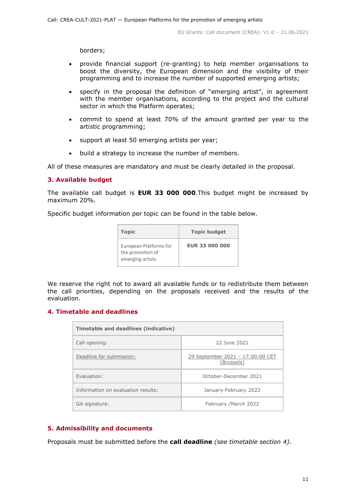borders;

- provide financial support (re-granting) to help member organisations to boost the diversity, the European dimension and the visibility of their programming and to increase the number of supported emerging artists;
- specify in the proposal the definition of "emerging artist", in agreement with the member organisations, according to the project and the cultural sector in which the Platform operates;
- commit to spend at least 70% of the amount granted per year to the artistic programming;
- support at least 50 emerging artists per year;
- build a strategy to increase the number of members.

All of these measures are mandatory and must be clearly detailed in the proposal.

# <span id="page-10-0"></span>**3. Available budget**

The available call budget is **EUR 33 000 000**.This budget might be increased by maximum 20%.

Specific budget information per topic can be found in the table below.

| <b>Topic</b>                                                   | <b>Topic budget</b>   |
|----------------------------------------------------------------|-----------------------|
| European Platforms for<br>the promotion of<br>emerging artists | <b>FUR 33 000 000</b> |

We reserve the right not to award all available funds or to redistribute them between the call priorities, depending on the proposals received and the results of the evaluation.

# <span id="page-10-1"></span>**4. Timetable and deadlines**

| Timetable and deadlines (indicative) |                                                |  |  |  |
|--------------------------------------|------------------------------------------------|--|--|--|
| Call opening:                        | 22 June 2021                                   |  |  |  |
| Deadline for submission:             | 29 September 2021 - 17:00:00 CET<br>(Brussels) |  |  |  |
| Fyaluation:                          | October-December 2021                          |  |  |  |
| Information on evaluation results:   | January-February 2022                          |  |  |  |
| GA signature:                        | February / March 2022                          |  |  |  |

# <span id="page-10-2"></span>**5. Admissibility and documents**

Proposals must be submitted before the **call deadline** *(see timetable section 4)*.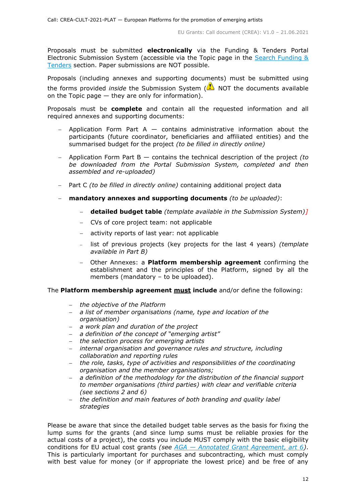Proposals must be submitted **electronically** via the Funding & Tenders Portal Electronic Submission System (accessible via the Topic page in the Search Funding & [Tenders](https://ec.europa.eu/info/funding-tenders/opportunities/portal/screen/opportunities/topic-search;freeTextSearchKeyword=;typeCodes=0,1;statusCodes=31094501,31094502,31094503;programCode=null;programDivisionCode=null;focusAreaCode=null;crossCuttingPriorityCode=null;callCode=Default;sortQuery=openingDate;orderBy=asc;onlyTenders=false;topicListKey=topicSearchTablePageState) section. Paper submissions are NOT possible.

Proposals (including annexes and supporting documents) must be submitted using the forms provided *inside* the Submission System (**A**) NOT the documents available on the Topic page  $-$  they are only for information).

Proposals must be **complete** and contain all the requested information and all required annexes and supporting documents:

- $-$  Application Form Part A  $-$  contains administrative information about the participants (future coordinator, beneficiaries and affiliated entities) and the summarised budget for the project *(to be filled in directly online)*
- Application Form Part B contains the technical description of the project *(to be downloaded from the Portal Submission System, completed and then assembled and re-uploaded)*
- Part C *(to be filled in directly online)* containing additional project data
- **mandatory annexes and supporting documents** *(to be uploaded)*:
	- **detailed budget table** *(template available in the Submission System)]*
	- CVs of core project team: not applicable
	- activity reports of last year: not applicable
	- list of previous projects (key projects for the last 4 years) *(template available in Part B)*
	- Other Annexes: a **Platform membership agreement** confirming the establishment and the principles of the Platform, signed by all the members (mandatory – to be uploaded).

#### The **Platform membership agreement must include** and/or define the following:

- *the objective of the Platform*
- *a list of member organisations (name, type and location of the organisation)*
- *a work plan and duration of the project*
- *a definition of the concept of "emerging artist"*
- *the selection process for emerging artists*
- *internal organisation and governance rules and structure, including collaboration and reporting rules*
- *the role, tasks, type of activities and responsibilities of the coordinating organisation and the member organisations;*
- *a definition of the methodology for the distribution of the financial support to member organisations (third parties) with clear and verifiable criteria (see sections 2 and 6)*
- *the definition and main features of both branding and quality label strategies*

Please be aware that since the detailed budget table serves as the basis for fixing the lump sums for the grants (and since lump sums must be reliable proxies for the actual costs of a project), the costs you include MUST comply with the basic eligibility conditions for EU actual cost grants *(see AGA — [Annotated Grant Agreement, art 6\)](https://ec.europa.eu/info/funding-tenders/opportunities/docs/2021-2027/common/guidance/aga_en.pdf)*. This is particularly important for purchases and subcontracting, which must comply with best value for money (or if appropriate the lowest price) and be free of any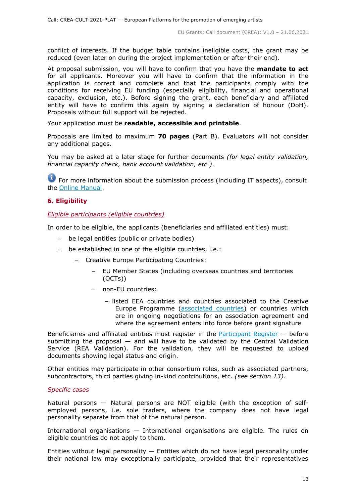conflict of interests. If the budget table contains ineligible costs, the grant may be reduced (even later on during the project implementation or after their end).

At proposal submission, you will have to confirm that you have the **mandate to act** for all applicants. Moreover you will have to confirm that the information in the application is correct and complete and that the participants comply with the conditions for receiving EU funding (especially eligibility, financial and operational capacity, exclusion, etc.). Before signing the grant, each beneficiary and affiliated entity will have to confirm this again by signing a declaration of honour (DoH). Proposals without full support will be rejected.

Your application must be **readable, accessible and printable**.

Proposals are limited to maximum **70 pages** (Part B). Evaluators will not consider any additional pages.

You may be asked at a later stage for further documents *(for legal entity validation, financial capacity check, bank account validation, etc.)*.

**For more information about the submission process (including IT aspects), consult** the [Online Manual.](https://ec.europa.eu/info/funding-tenders/opportunities/docs/2021-2027/common/guidance/om_en.pdf)

# <span id="page-12-0"></span>**6. Eligibility**

<span id="page-12-1"></span>*Eligible participants (eligible countries)*

In order to be eligible, the applicants (beneficiaries and affiliated entities) must:

- be legal entities (public or private bodies)
- be established in one of the eligible countries, i.e.:
	- Creative Europe Participating Countries:
		- EU Member States (including overseas countries and territories (OCTs))
		- non-EU countries:
			- $-$  listed EEA countries and countries associated to the Creative Europe Programme [\(associated countries\)](https://ec.europa.eu/info/funding-tenders/opportunities/docs/2021-2027/crea/guidance/list-3rd-country-participation_crea_en.pdf) or countries which are in ongoing negotiations for an association agreement and where the agreement enters into force before grant signature

Beneficiaries and affiliated entities must register in the [Participant Register](https://ec.europa.eu/info/funding-tenders/opportunities/portal/screen/how-to-participate/participant-register)  $-$  before submitting the proposal  $-$  and will have to be validated by the Central Validation Service (REA Validation). For the validation, they will be requested to upload documents showing legal status and origin.

Other entities may participate in other consortium roles, such as associated partners, subcontractors, third parties giving in-kind contributions, etc. *(see section 13)*.

#### *Specific cases*

Natural persons — Natural persons are NOT eligible (with the exception of selfemployed persons, i.e. sole traders, where the company does not have legal personality separate from that of the natural person.

International organisations — International organisations are eligible. The rules on eligible countries do not apply to them.

Entities without legal personality  $-$  Entities which do not have legal personality under their national law may exceptionally participate, provided that their representatives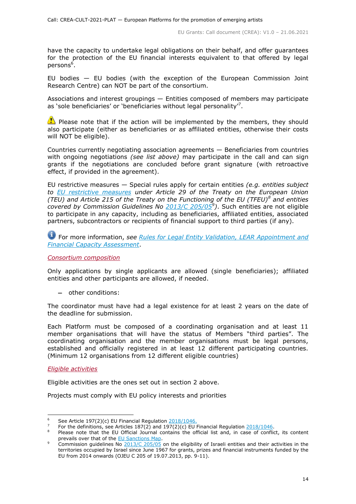have the capacity to undertake legal obligations on their behalf, and offer guarantees for the protection of the EU financial interests equivalent to that offered by legal persons<sup>6</sup>.

EU bodies — EU bodies (with the exception of the European Commission Joint Research Centre) can NOT be part of the consortium.

Associations and interest groupings — Entities composed of members may participate as 'sole beneficiaries' or 'beneficiaries without legal personality'<sup>7</sup>.

 $\bullet$  Please note that if the action will be implemented by the members, they should also participate (either as beneficiaries or as affiliated entities, otherwise their costs will NOT be eligible).

Countries currently negotiating association agreements — Beneficiaries from countries with ongoing negotiations *(see list above)* may participate in the call and can sign grants if the negotiations are concluded before grant signature (with retroactive effect, if provided in the agreement).

EU restrictive measures — Special rules apply for certain entities *(e.g. entities subject to [EU restrictive measures](http://www.sanctionsmap.eu/) under Article 29 of the Treaty on the European Union (TEU) and Article 215 of the Treaty on the Functioning of the EU (TFEU)<sup>8</sup> and entities covered by Commission Guidelines No [2013/C 205/05](http://eur-lex.europa.eu/LexUriServ/LexUriServ.do?uri=OJ:C:2013:205:FULL:EN:PDF)<sup>9</sup> )*. Such entities are not eligible to participate in any capacity, including as beneficiaries, affiliated entities, associated partners, subcontractors or recipients of financial support to third parties (if any).

For more information, *see [Rules for Legal Entity Validation,](https://ec.europa.eu/info/funding-tenders/opportunities/docs/2021-2027/common/guidance/rules-lev-lear-fca_en.pdf) LEAR Appointment and [Financial Capacity Assessment](https://ec.europa.eu/info/funding-tenders/opportunities/docs/2021-2027/common/guidance/rules-lev-lear-fca_en.pdf)*.

<span id="page-13-0"></span>*Consortium composition*

Only applications by single applicants are allowed (single beneficiaries); affiliated entities and other participants are allowed, if needed.

other conditions:

The coordinator must have had a legal existence for at least 2 years on the date of the deadline for submission.

Each Platform must be composed of a coordinating organisation and at least 11 member organisations that will have the status of Members "third parties". The coordinating organisation and the member organisations must be legal persons, established and officially registered in at least 12 different participating countries. (Minimum 12 organisations from 12 different eligible countries)

<span id="page-13-1"></span>*Eligible activities*

-

Eligible activities are the ones set out in section 2 above.

Projects must comply with EU policy interests and priorities

<sup>&</sup>lt;sup>6</sup> See Article 197(2)(c) EU Financial Regulation  $2018/1046$ .

<sup>7</sup> For the definitions, see Articles  $187(2)$  and  $197(2)(c)$  EU Financial Regulation  $2018/1046$ .

Please note that the EU Official Journal contains the official list and, in case of conflict, its content prevails over that of the [EU Sanctions Map.](http://www.sanctionsmap.eu/)

Commission guidelines No  $\frac{2013}{C}$  205/05 on the eligibility of Israeli entities and their activities in the territories occupied by Israel since June 1967 for grants, prizes and financial instruments funded by the EU from 2014 onwards (OJEU C 205 of 19.07.2013, pp. 9-11).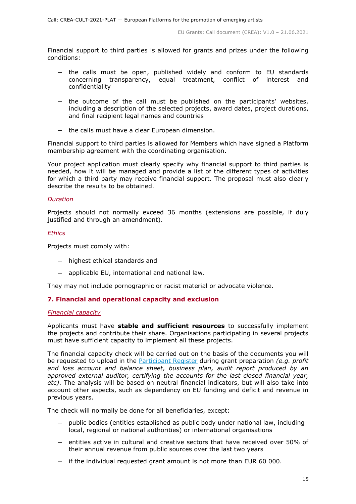Financial support to third parties is allowed for grants and prizes under the following conditions:

- the calls must be open, published widely and conform to EU standards concerning transparency, equal treatment, conflict of interest and confidentiality
- the outcome of the call must be published on the participants' websites, including a description of the selected projects, award dates, project durations, and final recipient legal names and countries
- $-$  the calls must have a clear European dimension.

Financial support to third parties is allowed for Members which have signed a Platform membership agreement with the coordinating organisation.

Your project application must clearly specify why financial support to third parties is needed, how it will be managed and provide a list of the different types of activities for which a third party may receive financial support. The proposal must also clearly describe the results to be obtained.

#### <span id="page-14-0"></span>*Duration*

Projects should not normally exceed 36 months (extensions are possible, if duly justified and through an amendment).

#### <span id="page-14-1"></span>*Ethics*

Projects must comply with:

- $-$  highest ethical standards and
- applicable EU, international and national law.

They may not include pornographic or racist material or advocate violence.

#### <span id="page-14-2"></span>**7. Financial and operational capacity and exclusion**

#### <span id="page-14-3"></span>*Financial capacity*

Applicants must have **stable and sufficient resources** to successfully implement the projects and contribute their share. Organisations participating in several projects must have sufficient capacity to implement all these projects.

The financial capacity check will be carried out on the basis of the documents you will be requested to upload in the [Participant Register](https://ec.europa.eu/info/funding-tenders/opportunities/portal/screen/how-to-participate/participant-register) during grant preparation *(e.g. profit and loss account and balance sheet, business plan, audit report produced by an approved external auditor, certifying the accounts for the last closed financial year, etc)*. The analysis will be based on neutral financial indicators, but will also take into account other aspects, such as dependency on EU funding and deficit and revenue in previous years.

The check will normally be done for all beneficiaries, except:

- public bodies (entities established as public body under national law, including local, regional or national authorities) or international organisations
- $-$  entities active in cultural and creative sectors that have received over 50% of their annual revenue from public sources over the last two years
- if the individual requested grant amount is not more than EUR 60 000.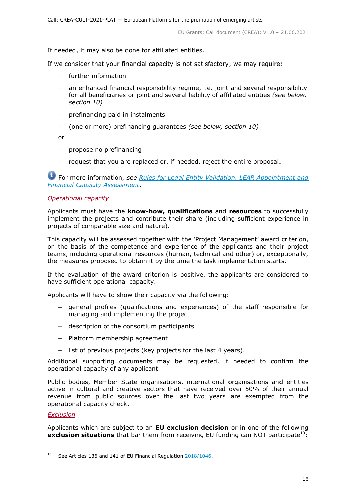If needed, it may also be done for affiliated entities.

If we consider that your financial capacity is not satisfactory, we may require:

- further information
- an enhanced financial responsibility regime, i.e. joint and several responsibility for all beneficiaries or joint and several liability of affiliated entities *(see below, section 10)*
- $-$  prefinancing paid in instalments
- (one or more) prefinancing guarantees *(see below, section 10)*

or

- $-$  propose no prefinancing
- request that you are replaced or, if needed, reject the entire proposal.

For more information, *see Rules for [Legal Entity Validation, LEAR Appointment and](https://ec.europa.eu/info/funding-tenders/opportunities/docs/2021-2027/common/guidance/rules-lev-lear-fca_en.pdf)  [Financial Capacity Assessment](https://ec.europa.eu/info/funding-tenders/opportunities/docs/2021-2027/common/guidance/rules-lev-lear-fca_en.pdf)*.

# <span id="page-15-0"></span>*Operational capacity*

Applicants must have the **know-how, qualifications** and **resources** to successfully implement the projects and contribute their share (including sufficient experience in projects of comparable size and nature).

This capacity will be assessed together with the 'Project Management' award criterion, on the basis of the competence and experience of the applicants and their project teams, including operational resources (human, technical and other) or, exceptionally, the measures proposed to obtain it by the time the task implementation starts.

If the evaluation of the award criterion is positive, the applicants are considered to have sufficient operational capacity.

Applicants will have to show their capacity via the following:

- general profiles (qualifications and experiences) of the staff responsible for managing and implementing the project
- description of the consortium participants
- Platform membership agreement
- $-$  list of previous projects (key projects for the last 4 years).

Additional supporting documents may be requested, if needed to confirm the operational capacity of any applicant.

Public bodies, Member State organisations, international organisations and entities active in cultural and creative sectors that have received over 50% of their annual revenue from public sources over the last two years are exempted from the operational capacity check.

#### <span id="page-15-1"></span>*Exclusion*

Applicants which are subject to an **EU exclusion decision** or in one of the following **exclusion situations** that bar them from receiving EU funding can NOT participate<sup>10</sup>:

 $10$ <sup>10</sup> See Articles 136 and 141 of EU Financial Regulation [2018/1046.](https://eur-lex.europa.eu/legal-content/EN/ALL/?uri=CELEX:32018R1046&qid=1535046024012)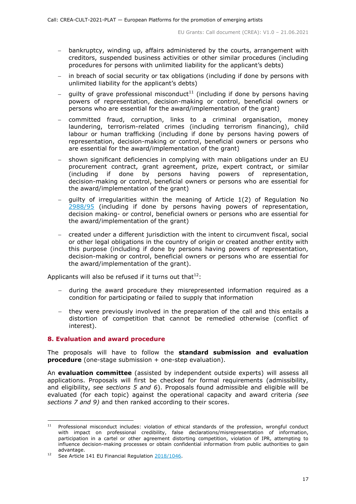- bankruptcy, winding up, affairs administered by the courts, arrangement with creditors, suspended business activities or other similar procedures (including procedures for persons with unlimited liability for the applicant's debts)
- in breach of social security or tax obligations (including if done by persons with unlimited liability for the applicant's debts)
- guilty of grave professional misconduct $11$  (including if done by persons having powers of representation, decision-making or control, beneficial owners or persons who are essential for the award/implementation of the grant)
- committed fraud, corruption, links to a criminal organisation, money laundering, terrorism-related crimes (including terrorism financing), child labour or human trafficking (including if done by persons having powers of representation, decision-making or control, beneficial owners or persons who are essential for the award/implementation of the grant)
- shown significant deficiencies in complying with main obligations under an EU procurement contract, grant agreement, prize, expert contract, or similar (including if done by persons having powers of representation, decision-making or control, beneficial owners or persons who are essential for the award/implementation of the grant)
- guilty of irregularities within the meaning of Article 1(2) of Regulation No [2988/95](http://eur-lex.europa.eu/legal-content/EN/ALL/?uri=CELEX:31995R2988&qid=1501598622514) (including if done by persons having powers of representation, decision making- or control, beneficial owners or persons who are essential for the award/implementation of the grant)
- created under a different jurisdiction with the intent to circumvent fiscal, social or other legal obligations in the country of origin or created another entity with this purpose (including if done by persons having powers of representation, decision-making or control, beneficial owners or persons who are essential for the award/implementation of the grant).

Applicants will also be refused if it turns out that<sup>12</sup>:

- during the award procedure they misrepresented information required as a condition for participating or failed to supply that information
- they were previously involved in the preparation of the call and this entails a distortion of competition that cannot be remedied otherwise (conflict of interest).

#### <span id="page-16-0"></span>**8. Evaluation and award procedure**

The proposals will have to follow the **standard submission and evaluation procedure** (one-stage submission + one-step evaluation).

An **evaluation committee** (assisted by independent outside experts) will assess all applications. Proposals will first be checked for formal requirements (admissibility, and eligibility, *see sections 5 and 6*). Proposals found admissible and eligible will be evaluated (for each topic) against the operational capacity and award criteria *(see sections 7 and 9)* and then ranked according to their scores.

 $11<sup>2</sup>$ <sup>11</sup> Professional misconduct includes: violation of ethical standards of the profession, wrongful conduct with impact on professional credibility, false declarations/misrepresentation of information, participation in a cartel or other agreement distorting competition, violation of IPR, attempting to influence decision-making processes or obtain confidential information from public authorities to gain advantage.

<sup>&</sup>lt;sup>12</sup> See Article 141 EU Financial Regulation [2018/1046.](https://eur-lex.europa.eu/legal-content/EN/ALL/?uri=CELEX:32018R1046&qid=1535046024012)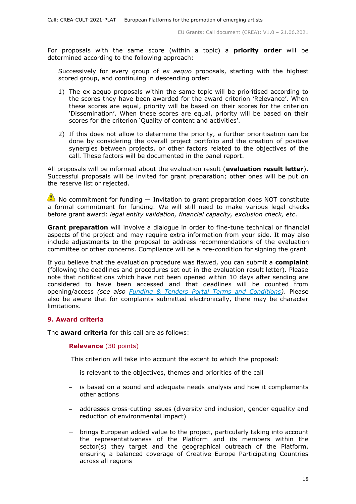For proposals with the same score (within a topic) a **priority order** will be determined according to the following approach:

Successively for every group of *ex aequo* proposals, starting with the highest scored group, and continuing in descending order:

- 1) The ex aequo proposals within the same topic will be prioritised according to the scores they have been awarded for the award criterion 'Relevance'. When these scores are equal, priority will be based on their scores for the criterion 'Dissemination'. When these scores are equal, priority will be based on their scores for the criterion 'Quality of content and activities'.
- 2) If this does not allow to determine the priority, a further prioritisation can be done by considering the overall project portfolio and the creation of positive synergies between projects, or other factors related to the objectives of the call. These factors will be documented in the panel report.

All proposals will be informed about the evaluation result (**evaluation result letter**). Successful proposals will be invited for grant preparation; other ones will be put on the reserve list or rejected.

 $\triangle$  No commitment for funding  $-$  Invitation to grant preparation does NOT constitute a formal commitment for funding. We will still need to make various legal checks before grant award: *legal entity validation, financial capacity, exclusion check, etc*.

**Grant preparation** will involve a dialogue in order to fine-tune technical or financial aspects of the project and may require extra information from your side. It may also include adjustments to the proposal to address recommendations of the evaluation committee or other concerns. Compliance will be a pre-condition for signing the grant.

If you believe that the evaluation procedure was flawed, you can submit a **complaint** (following the deadlines and procedures set out in the evaluation result letter). Please note that notifications which have not been opened within 10 days after sending are considered to have been accessed and that deadlines will be counted from opening/access *(see also [Funding & Tenders Portal Terms and Conditions\)](https://ec.europa.eu/info/funding-tenders/opportunities/docs/2021-2027/common/ftp/tc_en.pdf)*. Please also be aware that for complaints submitted electronically, there may be character limitations.

# <span id="page-17-0"></span>**9. Award criteria**

The **award criteria** for this call are as follows:

#### **Relevance** (30 points)

This criterion will take into account the extent to which the proposal:

- is relevant to the objectives, themes and priorities of the call
- is based on a sound and adequate needs analysis and how it complements other actions
- addresses cross-cutting issues (diversity and inclusion, gender equality and reduction of environmental impact)
- brings European added value to the project, particularly taking into account the representativeness of the Platform and its members within the sector(s) they target and the geographical outreach of the Platform, ensuring a balanced coverage of Creative Europe Participating Countries across all regions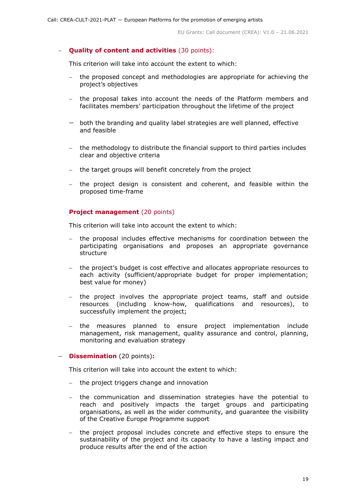# **Quality of content and activities** (30 points):

This criterion will take into account the extent to which:

- the proposed concept and methodologies are appropriate for achieving the project's objectives
- the proposal takes into account the needs of the Platform members and facilitates members' participation throughout the lifetime of the project
- both the branding and quality label strategies are well planned, effective and feasible
- the methodology to distribute the financial support to third parties includes clear and objective criteria
- the target groups will benefit concretely from the project
- the project design is consistent and coherent, and feasible within the proposed time-frame

# **Project management** (20 points)

This criterion will take into account the extent to which:

- the proposal includes effective mechanisms for coordination between the participating organisations and proposes an appropriate governance structure
- the project's budget is cost effective and allocates appropriate resources to each activity (sufficient/appropriate budget for proper implementation; best value for money)
- the project involves the appropriate project teams, staff and outside resources (including know-how, qualifications and resources), to successfully implement the project;
- the measures planned to ensure project implementation include management, risk management, quality assurance and control, planning, monitoring and evaluation strategy

#### **Dissemination** (20 points)**:**

This criterion will take into account the extent to which:

- the project triggers change and innovation
- the communication and dissemination strategies have the potential to reach and positively impacts the target groups and participating organisations, as well as the wider community, and guarantee the visibility of the Creative Europe Programme support
- the project proposal includes concrete and effective steps to ensure the sustainability of the project and its capacity to have a lasting impact and produce results after the end of the action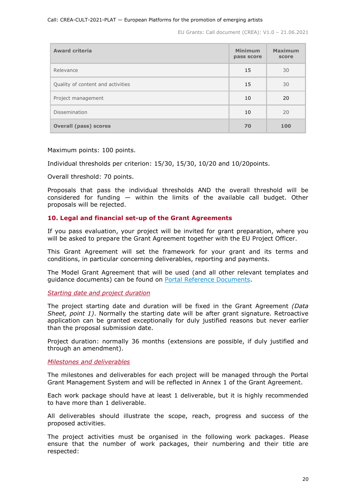| <b>Award criteria</b>             | <b>Minimum</b><br>pass score | <b>Maximum</b><br>score |
|-----------------------------------|------------------------------|-------------------------|
| Relevance                         | 15                           | 30                      |
| Quality of content and activities | 15                           | 30                      |
| Project management                | 10                           | 20                      |
| Dissemination                     | 10                           | 20                      |
| <b>Overall (pass) scores</b>      | 70                           | 100                     |

Maximum points: 100 points.

Individual thresholds per criterion: 15/30, 15/30, 10/20 and 10/20points.

Overall threshold: 70 points.

Proposals that pass the individual thresholds AND the overall threshold will be considered for funding — within the limits of the available call budget. Other proposals will be rejected.

# <span id="page-19-0"></span>**10. Legal and financial set-up of the Grant Agreements**

If you pass evaluation, your project will be invited for grant preparation, where you will be asked to prepare the Grant Agreement together with the EU Project Officer.

This Grant Agreement will set the framework for your grant and its terms and conditions, in particular concerning deliverables, reporting and payments.

The Model Grant Agreement that will be used (and all other relevant templates and guidance documents) can be found on [Portal Reference Documents.](https://ec.europa.eu/info/funding-tenders/opportunities/portal/screen/how-to-participate/reference-documents)

<span id="page-19-1"></span>*Starting date and project duration*

The project starting date and duration will be fixed in the Grant Agreement *(Data Sheet, point 1)*. Normally the starting date will be after grant signature. Retroactive application can be granted exceptionally for duly justified reasons but never earlier than the proposal submission date.

Project duration: normally 36 months (extensions are possible, if duly justified and through an amendment).

<span id="page-19-2"></span>*Milestones and deliverables*

The milestones and deliverables for each project will be managed through the Portal Grant Management System and will be reflected in Annex 1 of the Grant Agreement.

Each work package should have at least 1 deliverable, but it is highly recommended to have more than 1 deliverable.

All deliverables should illustrate the scope, reach, progress and success of the proposed activities.

The project activities must be organised in the following work packages. Please ensure that the number of work packages, their numbering and their title are respected: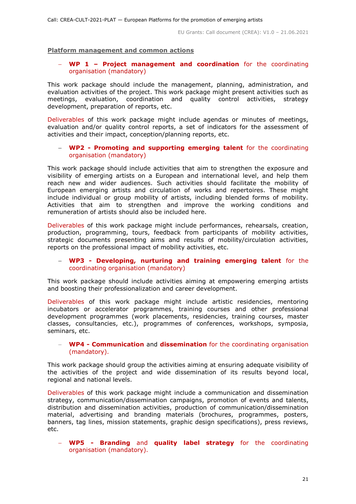#### **Platform management and common actions**

#### **WP 1 – Project management and coordination** for the coordinating organisation (mandatory)

This work package should include the management, planning, administration, and evaluation activities of the project. This work package might present activities such as meetings, evaluation, coordination and quality control activities, strategy development, preparation of reports, etc.

Deliverables of this work package might include agendas or minutes of meetings, evaluation and/or quality control reports, a set of indicators for the assessment of activities and their impact, conception/planning reports, etc.

#### **WP2 - Promoting and supporting emerging talent** for the coordinating organisation (mandatory)

This work package should include activities that aim to strengthen the exposure and visibility of emerging artists on a European and international level, and help them reach new and wider audiences. Such activities should facilitate the mobility of European emerging artists and circulation of works and repertoires. These might include individual or group mobility of artists, including blended forms of mobility. Activities that aim to strengthen and improve the working conditions and remuneration of artists should also be included here.

Deliverables of this work package might include performances, rehearsals, creation, production, programming, tours, feedback from participants of mobility activities, strategic documents presenting aims and results of mobility/circulation activities, reports on the professional impact of mobility activities, etc.

#### **WP3 - Developing, nurturing and training emerging talent** for the coordinating organisation (mandatory)

This work package should include activities aiming at empowering emerging artists and boosting their professionalization and career development.

Deliverables of this work package might include artistic residencies, mentoring incubators or accelerator programmes, training courses and other professional development programmes (work placements, residencies, training courses, master classes, consultancies, etc.), programmes of conferences, workshops, symposia, seminars, etc.

#### **WP4 - Communication** and **dissemination** for the coordinating organisation (mandatory).

This work package should group the activities aiming at ensuring adequate visibility of the activities of the project and wide dissemination of its results beyond local, regional and national levels.

Deliverables of this work package might include a communication and dissemination strategy, communication/dissemination campaigns, promotion of events and talents, distribution and dissemination activities, production of communication/dissemination material, advertising and branding materials (brochures, programmes, posters, banners, tag lines, mission statements, graphic design specifications), press reviews, etc.

 **WP5 - Branding** and **quality label strategy** for the coordinating organisation (mandatory).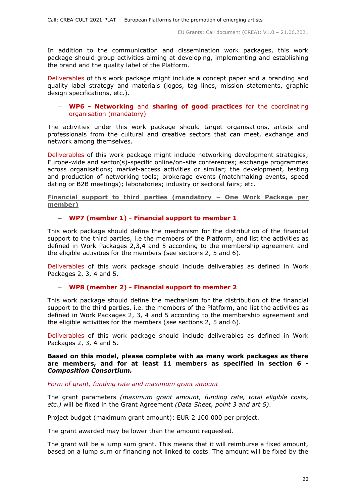In addition to the communication and dissemination work packages, this work package should group activities aiming at developing, implementing and establishing the brand and the quality label of the Platform.

Deliverables of this work package might include a concept paper and a branding and quality label strategy and materials (logos, tag lines, mission statements, graphic design specifications, etc.).

#### **WP6 - Networking** and **sharing of good practices** for the coordinating organisation (mandatory)

The activities under this work package should target organisations, artists and professionals from the cultural and creative sectors that can meet, exchange and network among themselves.

Deliverables of this work package might include networking development strategies; Europe-wide and sector(s)-specific online/on-site conferences; exchange programmes across organisations; market-access activities or similar; the development, testing and production of networking tools; brokerage events (matchmaking events, speed dating or B2B meetings); laboratories; industry or sectoral fairs; etc.

**Financial support to third parties (mandatory – One Work Package per member)**

# **WP7 (member 1) - Financial support to member 1**

This work package should define the mechanism for the distribution of the financial support to the third parties, i.e the members of the Platform, and list the activities as defined in Work Packages 2,3,4 and 5 according to the membership agreement and the eligible activities for the members (see sections 2, 5 and 6).

Deliverables of this work package should include deliverables as defined in Work Packages 2, 3, 4 and 5.

#### **WP8 (member 2) - Financial support to member 2**

This work package should define the mechanism for the distribution of the financial support to the third parties, i.e. the members of the Platform, and list the activities as defined in Work Packages 2, 3, 4 and 5 according to the membership agreement and the eligible activities for the members (see sections 2, 5 and 6).

Deliverables of this work package should include deliverables as defined in Work Packages 2, 3, 4 and 5.

#### **Based on this model, please complete with as many work packages as there are members, and for at least 11 members as specified in section 6 -** *Composition Consortium.*

<span id="page-21-0"></span>*Form of grant, funding rate and maximum grant amount*

The grant parameters *(maximum grant amount, funding rate, total eligible costs, etc.)* will be fixed in the Grant Agreement *(Data Sheet, point 3 and art 5)*.

Project budget (maximum grant amount): EUR 2 100 000 per project.

The grant awarded may be lower than the amount requested.

The grant will be a lump sum grant. This means that it will reimburse a fixed amount, based on a lump sum or financing not linked to costs. The amount will be fixed by the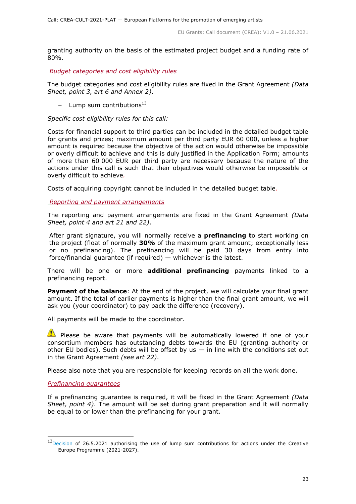granting authority on the basis of the estimated project budget and a funding rate of 80%.

<span id="page-22-0"></span>*Budget categories and cost eligibility rules*

The budget categories and cost eligibility rules are fixed in the Grant Agreement *(Data Sheet, point 3, art 6 and Annex 2)*.

- Lump sum contributions $^{13}$ 

*Specific cost eligibility rules for this call:* 

Costs for financial support to third parties can be included in the detailed budget table for grants and prizes; maximum amount per third party EUR 60 000, unless a higher amount is required because the objective of the action would otherwise be impossible or overly difficult to achieve and this is duly justified in the Application Form; amounts of more than 60 000 EUR per third party are necessary because the nature of the actions under this call is such that their objectives would otherwise be impossible or overly difficult to achieve*.*

Costs of acquiring copyright cannot be included in the detailed budget table.

<span id="page-22-1"></span>*Reporting and payment arrangements*

The reporting and payment arrangements are fixed in the Grant Agreement *(Data Sheet, point 4 and art 21 and 22)*.

After grant signature, you will normally receive a **prefinancing t**o start working on the project (float of normally **30%** of the maximum grant amount; exceptionally less or no prefinancing). The prefinancing will be paid 30 days from entry into force/financial guarantee (if required)  $-$  whichever is the latest.

There will be one or more **additional prefinancing** payments linked to a prefinancing report.

**Payment of the balance**: At the end of the project, we will calculate your final grant amount. If the total of earlier payments is higher than the final grant amount, we will ask you (your coordinator) to pay back the difference (recovery).

All payments will be made to the coordinator.

**Please be aware that payments will be automatically lowered if one of your** consortium members has outstanding debts towards the EU (granting authority or other EU bodies). Such debts will be offset by us  $-$  in line with the conditions set out in the Grant Agreement *(see art 22)*.

Please also note that you are responsible for keeping records on all the work done.

#### <span id="page-22-2"></span>*Prefinancing guarantees*

-

If a prefinancing guarantee is required, it will be fixed in the Grant Agreement *(Data Sheet, point 4)*. The amount will be set during grant preparation and it will normally be equal to or lower than the prefinancing for your grant.

<sup>&</sup>lt;sup>13</sup>[Decision](https://ec.europa.eu/info/funding-tenders/opportunities/docs/2021-2027/crea/guidance/ls-decision_crea_en.pdf) of 26.5.2021 authorising the use of lump sum contributions for actions under the Creative Europe Programme (2021-2027).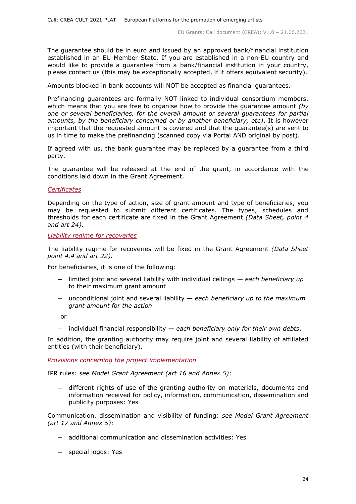The guarantee should be in euro and issued by an approved bank/financial institution established in an EU Member State. If you are established in a non-EU country and would like to provide a guarantee from a bank/financial institution in your country, please contact us (this may be exceptionally accepted, if it offers equivalent security).

Amounts blocked in bank accounts will NOT be accepted as financial guarantees.

Prefinancing guarantees are formally NOT linked to individual consortium members, which means that you are free to organise how to provide the guarantee amount *(by one or several beneficiaries, for the overall amount or several guarantees for partial amounts, by the beneficiary concerned or by another beneficiary, etc)*. It is however important that the requested amount is covered and that the guarantee(s) are sent to us in time to make the prefinancing (scanned copy via Portal AND original by post).

If agreed with us, the bank guarantee may be replaced by a guarantee from a third party.

The guarantee will be released at the end of the grant, in accordance with the conditions laid down in the Grant Agreement.

#### <span id="page-23-0"></span>*Certificates*

Depending on the type of action, size of grant amount and type of beneficiaries, you may be requested to submit different certificates. The types, schedules and thresholds for each certificate are fixed in the Grant Agreement *(Data Sheet, point 4 and art 24)*.

<span id="page-23-1"></span>*Liability regime for recoveries*

The liability regime for recoveries will be fixed in the Grant Agreement *(Data Sheet point 4.4 and art 22).*

For beneficiaries, it is one of the following:

- limited joint and several liability with individual ceilings *each beneficiary up*  to their maximum grant amount
- unconditional joint and several liability *each beneficiary up to the maximum grant amount for the action*

or

individual financial responsibility — *each beneficiary only for their own debts*.

In addition, the granting authority may require joint and several liability of affiliated entities (with their beneficiary).

<span id="page-23-2"></span>*Provisions concerning the project implementation*

IPR rules: *see Model Grant Agreement (art 16 and Annex 5):*

 different rights of use of the granting authority on materials, documents and information received for policy, information, communication, dissemination and publicity purposes: Yes

Communication, dissemination and visibility of funding: *see Model Grant Agreement (art 17 and Annex 5):*

- additional communication and dissemination activities: Yes
- special logos: Yes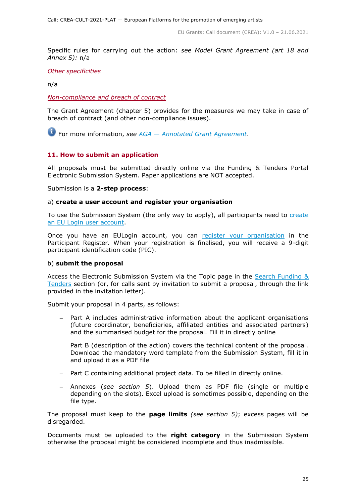Specific rules for carrying out the action: *see Model Grant Agreement (art 18 and Annex 5):* n/a

<span id="page-24-0"></span>*Other specificities*

n/a

<span id="page-24-1"></span>*Non-compliance and breach of contract*

The Grant Agreement (chapter 5) provides for the measures we may take in case of breach of contract (and other non-compliance issues).

For more information, *see AGA — [Annotated Grant Agreement](https://ec.europa.eu/info/funding-tenders/opportunities/docs/2021-2027/common/guidance/aga_en.pdf)*.

#### <span id="page-24-2"></span>**11. How to submit an application**

All proposals must be submitted directly online via the Funding & Tenders Portal Electronic Submission System. Paper applications are NOT accepted.

Submission is a **2-step process**:

#### a) **create a user account and register your organisation**

To use the Submission System (the only way to apply), all participants need to create [an EU Login user account.](https://webgate.ec.europa.eu/cas/eim/external/register.cgi)

Once you have an EULogin account, you can [register your organisation](https://ec.europa.eu/info/funding-tenders/opportunities/portal/screen/how-to-participate/participant-register) in the Participant Register. When your registration is finalised, you will receive a 9-digit participant identification code (PIC).

#### b) **submit the proposal**

Access the Electronic Submission System via the Topic page in the [Search Funding &](https://ec.europa.eu/info/funding-tenders/opportunities/portal/screen/opportunities/topic-search;freeTextSearchKeyword=;typeCodes=0,1;statusCodes=31094501,31094502,31094503;programCode=null;programDivisionCode=null;focusAreaCode=null;crossCuttingPriorityCode=null;callCode=Default;sortQuery=openingDate;orderBy=asc;onlyTenders=false;topicListKey=topicSearchTablePageState)  [Tenders](https://ec.europa.eu/info/funding-tenders/opportunities/portal/screen/opportunities/topic-search;freeTextSearchKeyword=;typeCodes=0,1;statusCodes=31094501,31094502,31094503;programCode=null;programDivisionCode=null;focusAreaCode=null;crossCuttingPriorityCode=null;callCode=Default;sortQuery=openingDate;orderBy=asc;onlyTenders=false;topicListKey=topicSearchTablePageState) section (or, for calls sent by invitation to submit a proposal, through the link provided in the invitation letter).

Submit your proposal in 4 parts, as follows:

- Part A includes administrative information about the applicant organisations (future coordinator, beneficiaries, affiliated entities and associated partners) and the summarised budget for the proposal. Fill it in directly online
- Part B (description of the action) covers the technical content of the proposal. Download the mandatory word template from the Submission System, fill it in and upload it as a PDF file
- Part C containing additional project data. To be filled in directly online.
- Annexes (*see section 5*). Upload them as PDF file (single or multiple depending on the slots). Excel upload is sometimes possible, depending on the file type.

The proposal must keep to the **page limits** *(see section 5)*; excess pages will be disregarded.

Documents must be uploaded to the **right category** in the Submission System otherwise the proposal might be considered incomplete and thus inadmissible.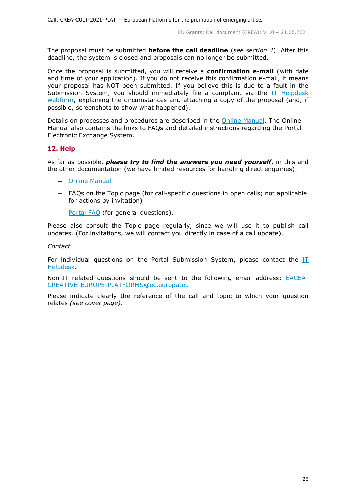The proposal must be submitted **before the call deadline** (*see section 4*). After this deadline, the system is closed and proposals can no longer be submitted.

Once the proposal is submitted, you will receive a **confirmation e-mail** (with date and time of your application). If you do not receive this confirmation e-mail, it means your proposal has NOT been submitted. If you believe this is due to a fault in the Submission System, you should immediately file a complaint via the IT Helpdesk [webform,](https://ec.europa.eu/info/funding-tenders/opportunities/portal/screen/support/helpdesks/contact-form) explaining the circumstances and attaching a copy of the proposal (and, if possible, screenshots to show what happened).

Details on processes and procedures are described in the [Online Manual.](https://ec.europa.eu/info/funding-tenders/opportunities/docs/2021-2027/common/guidance/om_en.pdf) The Online Manual also contains the links to FAQs and detailed instructions regarding the Portal Electronic Exchange System.

# <span id="page-25-0"></span>**12. Help**

As far as possible, *please try to find the answers you need yourself*, in this and the other documentation (we have limited resources for handling direct enquiries):

- [Online Manual](https://ec.europa.eu/info/funding-tenders/opportunities/docs/2021-2027/common/guidance/om_en.pdf)
- FAQs on the Topic page (for call-specific questions in open calls; not applicable for actions by invitation)
- [Portal FAQ](https://ec.europa.eu/info/funding-tenders/opportunities/portal/screen/support/faq;categories=;programme=null;actions=;keyword=) (for general questions).

Please also consult the Topic page regularly, since we will use it to publish call updates. (For invitations, we will contact you directly in case of a call update).

#### *Contact*

For individual questions on the Portal Submission System, please contact the [IT](https://ec.europa.eu/info/funding-tenders/opportunities/portal/screen/support/helpdesks/contact-form)  [Helpdesk.](https://ec.europa.eu/info/funding-tenders/opportunities/portal/screen/support/helpdesks/contact-form)

Non-IT related questions should be sent to the following email address: **[EACEA-](mailto:EACEA-CREATIVE-EUROPE-PLATFORMS@ec.europa.eu)**[CREATIVE-EUROPE-PLATFORMS@ec.europa.eu](mailto:EACEA-CREATIVE-EUROPE-PLATFORMS@ec.europa.eu)

Please indicate clearly the reference of the call and topic to which your question relates *(see cover page)*.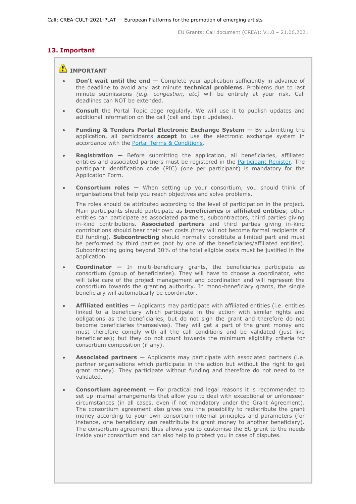# **13. Important**

# <span id="page-26-0"></span>**IMPORTANT**

- **Don't wait until the end —** Complete your application sufficiently in advance of the deadline to avoid any last minute **technical problems**. Problems due to last minute submissions *(e.g. congestion, etc)* will be entirely at your risk. Call deadlines can NOT be extended.
- **Consult** the Portal Topic page regularly. We will use it to publish updates and additional information on the call (call and topic updates).
- **Funding & Tenders Portal Electronic Exchange System —** By submitting the application, all participants **accept** to use the electronic exchange system in accordance with the [Portal Terms & Conditions.](https://ec.europa.eu/info/funding-tenders/opportunities/docs/2021-2027/common/ftp/tc_en.pdf)
- **Registration —** Before submitting the application, all beneficiaries, affiliated entities and associated partners must be registered in the [Participant Register.](https://ec.europa.eu/info/funding-tenders/opportunities/portal/screen/how-to-participate/participant-register) The participant identification code (PIC) (one per participant) is mandatory for the Application Form.
- **Consortium roles —** When setting up your consortium, you should think of organisations that help you reach objectives and solve problems.

The roles should be attributed according to the level of participation in the project. Main participants should participate as **beneficiaries** or **affiliated entities**; other entities can participate as associated partners, subcontractors, third parties giving in-kind contributions. **Associated partners** and third parties giving in-kind contributions should bear their own costs (they will not become formal recipients of EU funding). **Subcontracting** should normally constitute a limited part and must be performed by third parties (not by one of the beneficiaries/affiliated entities). Subcontracting going beyond 30% of the total eligible costs must be justified in the application.

- **Coordinator —** In multi-beneficiary grants, the beneficiaries participate as consortium (group of beneficiaries). They will have to choose a coordinator, who will take care of the project management and coordination and will represent the consortium towards the granting authority. In mono-beneficiary grants, the single beneficiary will automatically be coordinator.
- **Affiliated entities** Applicants may participate with affiliated entities (i.e. entities linked to a beneficiary which participate in the action with similar rights and obligations as the beneficiaries, but do not sign the grant and therefore do not become beneficiaries themselves). They will get a part of the grant money and must therefore comply with all the call conditions and be validated (just like beneficiaries); but they do not count towards the minimum eligibility criteria for consortium composition (if any).
- **Associated partners** Applicants may participate with associated partners (i.e. partner organisations which participate in the action but without the right to get grant money). They participate without funding and therefore do not need to be validated.
- **Consortium agreement**  For practical and legal reasons it is recommended to set up internal arrangements that allow you to deal with exceptional or unforeseen circumstances (in all cases, even if not mandatory under the Grant Agreement). The consortium agreement also gives you the possibility to redistribute the grant money according to your own consortium-internal principles and parameters (for instance, one beneficiary can reattribute its grant money to another beneficiary). The consortium agreement thus allows you to customise the EU grant to the needs inside your consortium and can also help to protect you in case of disputes.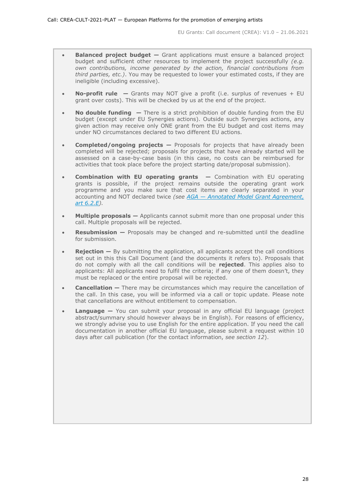- **Balanced project budget –** Grant applications must ensure a balanced project budget and sufficient other resources to implement the project successfully *(e.g. own contributions, income generated by the action, financial contributions from third parties, etc.)*. You may be requested to lower your estimated costs, if they are ineligible (including excessive).
- **No-profit rule —** Grants may NOT give a profit (i.e. surplus of revenues + EU grant over costs). This will be checked by us at the end of the project.
- **No double funding —** There is a strict prohibition of double funding from the EU budget (except under EU Synergies actions). Outside such Synergies actions, any given action may receive only ONE grant from the EU budget and cost items may under NO circumstances declared to two different EU actions.
- **Completed/ongoing projects —** Proposals for projects that have already been completed will be rejected; proposals for projects that have already started will be assessed on a case-by-case basis (in this case, no costs can be reimbursed for activities that took place before the project starting date/proposal submission).
- **Combination with EU operating grants —** Combination with EU operating grants is possible, if the project remains outside the operating grant work programme and you make sure that cost items are clearly separated in your accounting and NOT declared twice *(see AGA — [Annotated Model Grant Agreement,](https://ec.europa.eu/info/funding-tenders/opportunities/docs/2021-2027/common/guidance/aga_en.pdf)  [art 6.2.E\)](https://ec.europa.eu/info/funding-tenders/opportunities/docs/2021-2027/common/guidance/aga_en.pdf).*
- **Multiple proposals —** Applicants cannot submit more than one proposal under this call. Multiple proposals will be rejected.
- **Resubmission —** Proposals may be changed and re-submitted until the deadline for submission.
- **Rejection –** By submitting the application, all applicants accept the call conditions set out in this this Call Document (and the documents it refers to). Proposals that do not comply with all the call conditions will be **rejected**. This applies also to applicants: All applicants need to fulfil the criteria; if any one of them doesn't, they must be replaced or the entire proposal will be rejected.
- **Cancellation —** There may be circumstances which may require the cancellation of the call. In this case, you will be informed via a call or topic update. Please note that cancellations are without entitlement to compensation.
- **Language —** You can submit your proposal in any official EU language (project abstract/summary should however always be in English). For reasons of efficiency, we strongly advise you to use English for the entire application. If you need the call documentation in another official EU language, please submit a request within 10 days after call publication (for the contact information, *see section 12*).